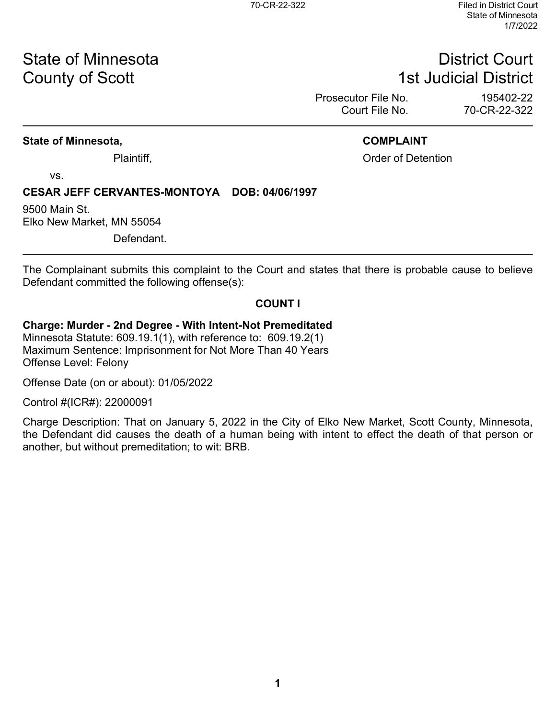# State of Minnesota **District Court County of Scott 1st Judicial District**

Prosecutor File No. 195402-22<br>Court File No. 195402-22-322

70-CR-22-322

### **State of Minnesota, COMPLAINT**

Plaintiff, Plaintiff, Plaintiff, Plaintiff, Plaintiff, Plaintiff, Plaintiff, Plaintiff, Plaintiff, Plaintiff, Plaintiff, Plaintiff, Plaintiff, Plaintiff, Plaintiff, Plaintiff, Plaintiff, Plaintiff, Plaintiff, Plaintiff, Pl

vs.

### **CESAR JEFF CERVANTES-MONTOYA DOB: 04/06/1997**

9500 Main St. Elko New Market, MN 55054

Defendant.

The Complainant submits this complaint to the Court and states that there is probable cause to believe Defendant committed the following offense(s):

### **COUNT I**

### **Charge: Murder - 2nd Degree - With Intent-Not Premeditated**

Minnesota Statute: 609.19.1(1), with reference to: 609.19.2(1) Maximum Sentence: Imprisonment for Not More Than 40 Years Offense Level: Felony

Offense Date (on or about): 01/05/2022

Control #(ICR#): 22000091

Charge Description: That on January 5, 2022 in the City of Elko New Market, Scott County, Minnesota, the Defendant did causes the death of a human being with intent to effect the death of that person or another, but without premeditation; to wit: BRB.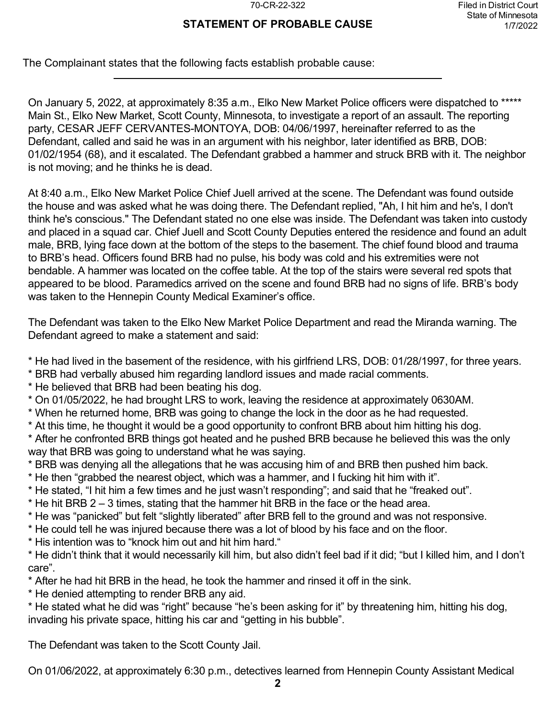### **STATEMENT OF PROBABLE CAUSE**

The Complainant states that the following facts establish probable cause:

On January 5, 2022, at approximately 8:35 a.m., Elko New Market Police officers were dispatched to \*\*\*\*\* Main St., Elko New Market, Scott County, Minnesota, to investigate a report of an assault. The reporting party, CESAR JEFF CERVANTES-MONTOYA, DOB: 04/06/1997, hereinafter referred to as the Defendant, called and said he was in an argument with his neighbor, later identified as BRB, DOB: 01/02/1954 (68), and it escalated. The Defendant grabbed a hammer and struck BRB with it. The neighbor is not moving; and he thinks he is dead.

At 8:40 a.m., Elko New Market Police Chief Juell arrived at the scene. The Defendant was found outside the house and was asked what he was doing there. The Defendant replied, "Ah, I hit him and he's, I don't think he's conscious." The Defendant stated no one else was inside. The Defendant was taken into custody and placed in a squad car. Chief Juell and Scott County Deputies entered the residence and found an adult male, BRB, lying face down at the bottom of the steps to the basement. The chief found blood and trauma to BRB's head. Officers found BRB had no pulse, his body was cold and his extremities were not bendable. A hammer was located on the coffee table. At the top of the stairs were several red spots that appeared to be blood. Paramedics arrived on the scene and found BRB had no signs of life. BRB's body was taken to the Hennepin County Medical Examiner's office.

The Defendant was taken to the Elko New Market Police Department and read the Miranda warning. The Defendant agreed to make a statement and said:

- \* He had lived in the basement of the residence, with his girlfriend LRS, DOB: 01/28/1997, for three years.
- \* BRB had verbally abused him regarding landlord issues and made racial comments.
- \* He believed that BRB had been beating his dog.
- \* On 01/05/2022, he had brought LRS to work, leaving the residence at approximately 0630AM.
- \* When he returned home, BRB was going to change the lock in the door as he had requested.
- \* At this time, he thought it would be a good opportunity to confront BRB about him hitting his dog.
- \* After he confronted BRB things got heated and he pushed BRB because he believed this was the only way that BRB was going to understand what he was saying.
- \* BRB was denying all the allegations that he was accusing him of and BRB then pushed him back.
- \* He then "grabbed the nearest object, which was a hammer, and I fucking hit him with it".
- \* He stated, "I hit him a few times and he just wasn't responding"; and said that he "freaked out".
- \* He hit BRB 2 3 times, stating that the hammer hit BRB in the face or the head area.
- \* He was "panicked" but felt "slightly liberated" after BRB fell to the ground and was not responsive.
- \* He could tell he was injured because there was a lot of blood by his face and on the floor.
- \* His intention was to "knock him out and hit him hard."
- \* He didn't think that it would necessarily kill him, but also didn't feel bad if it did; "but I killed him, and I don't care".
- \* After he had hit BRB in the head, he took the hammer and rinsed it off in the sink.
- \* He denied attempting to render BRB any aid.
- \* He stated what he did was "right" because "he's been asking for it" by threatening him, hitting his dog, invading his private space, hitting his car and "getting in his bubble".

The Defendant was taken to the Scott County Jail.

On 01/06/2022, at approximately 6:30 p.m., detectives learned from Hennepin County Assistant Medical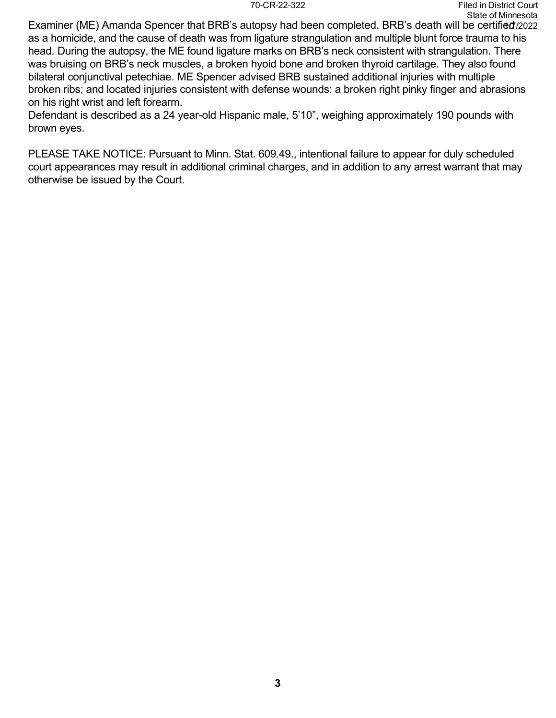Examiner (ME) Amanda Spencer that BRB's autopsy had been completed. BRB's death will be certified/2022 as a homicide, and the cause of death was from ligature strangulation and multiple blunt force trauma to his head. During the autopsy, the ME found ligature marks on BRB's neck consistent with strangulation. There was bruising on BRB's neck muscles, a broken hyoid bone and broken thyroid cartilage. They also found bilateral conjunctival petechiae. ME Spencer advised BRB sustained additional injuries with multiple broken ribs; and located injuries consistent with defense wounds: a broken right pinky finger and abrasions on his right wrist and left forearm.

Defendant is described as a 24 year-old Hispanic male, 5'10", weighing approximately 190 pounds with brown eyes.

PLEASE TAKE NOTICE: Pursuant to Minn. Stat. 609.49., intentional failure to appear for duly scheduled court appearances may result in additional criminal charges, and in addition to any arrest warrant that may otherwise be issued by the Court.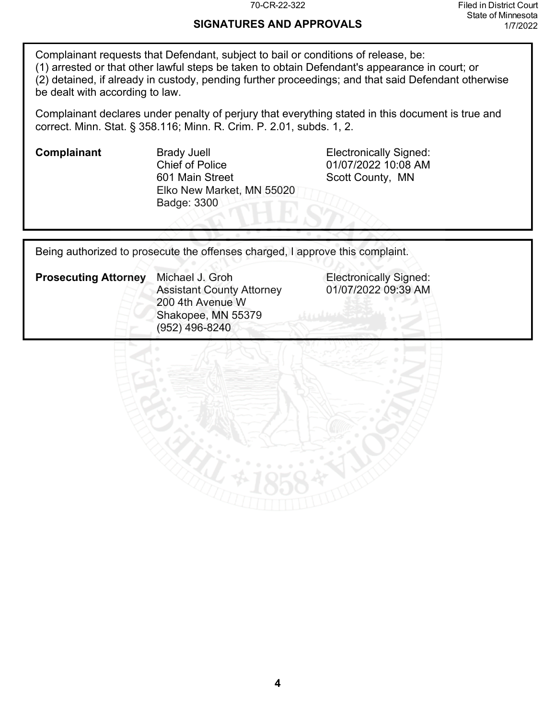### **SIGNATURES AND APPROVALS**

Complainant requests that Defendant, subject to bail or conditions of release, be: (1) arrested or that other lawful steps be taken to obtain Defendant's appearance in court; or (2) detained, if already in custody, pending further proceedings; and that said Defendant otherwise be dealt with according to law.

Complainant declares under penalty of perjury that everything stated in this document is true and correct. Minn. Stat. § 358.116; Minn. R. Crim. P. 2.01, subds. 1, 2.

**Complainant** Brady Juell **Electronically Signed:** Chief of Police 601 Main Street Elko New Market, MN 55020 Badge: 3300

01/07/2022 10:08 AM Scott County, MN

Being authorized to prosecute the offenses charged, I approve this complaint.

| <b>Prosecuting Attorney</b> | Michael J. Groh                  |  |  |
|-----------------------------|----------------------------------|--|--|
|                             | <b>Assistant County Attorney</b> |  |  |
|                             | 200 4th Avenue W                 |  |  |
|                             | Shakopee, MN 55379               |  |  |
|                             | (952) 496-8240                   |  |  |

**Electronically Signed:** 01/07/2022 09:39 AM

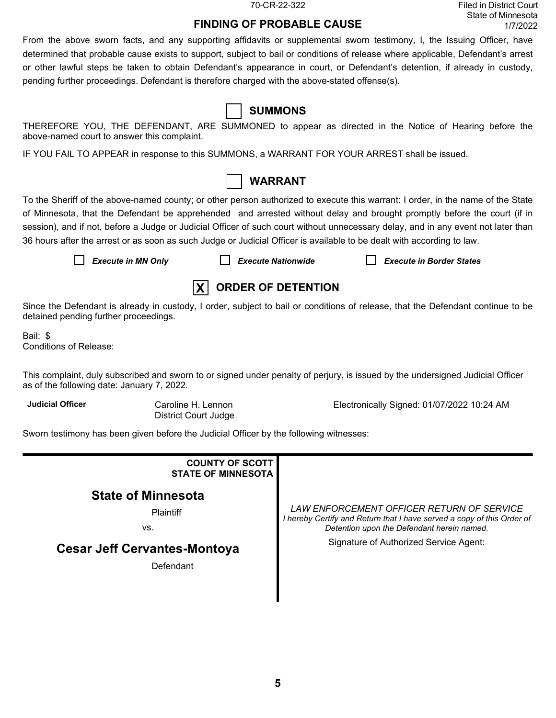70-CR-22-322 Filed in District Court State of Minnesota 1/7/2022

### **FINDING OF PROBABLE CAUSE**

From the above sworn facts, and any supporting affidavits or supplemental sworn testimony, I, the Issuing Officer, have determined that probable cause exists to support, subject to bail or conditions of release where applicable, Defendant's arrest or other lawful steps be taken to obtain Defendant's appearance in court, or Defendant's detention, if already in custody, pending further proceedings. Defendant is therefore charged with the above-stated offense(s).

| <b>SUMMONS</b> |
|----------------|
|----------------|

THEREFORE YOU, THE DEFENDANT, ARE SUMMONED to appear as directed in the Notice of Hearing before the above-named court to answer this complaint.

IF YOU FAIL TO APPEAR in response to this SUMMONS, a WARRANT FOR YOUR ARREST shall be issued.



To the Sheriff of the above-named county; or other person authorized to execute this warrant: I order, in the name of the State of Minnesota, that the Defendant be apprehended and arrested without delay and brought promptly before the court (if in session), and if not, before a Judge or Judicial Officer of such court without unnecessary delay, and in any event not later than 36 hours after the arrest or as soon as such Judge or Judicial Officer is available to be dealt with according to law.

*Execute in MN Only Execute Nationwide Execute in Border States*



Since the Defendant is already in custody, I order, subject to bail or conditions of release, that the Defendant continue to be detained pending further proceedings.

Bail: \$ Conditions of Release:

This complaint, duly subscribed and sworn to or signed under penalty of perjury, is issued by the undersigned Judicial Officer as of the following date: January 7, 2022.

**Judicial Officer** Caroline H. Lennon District Court Judge Electronically Signed: 01/07/2022 10:24 AM

Sworn testimony has been given before the Judicial Officer by the following witnesses:

| <b>COUNTY OF SCOTT</b><br><b>STATE OF MINNESOTA</b> |                                                                                                                                                                   |
|-----------------------------------------------------|-------------------------------------------------------------------------------------------------------------------------------------------------------------------|
| <b>State of Minnesota</b><br>Plaintiff<br>VS.       | LAW ENFORCEMENT OFFICER RETURN OF SERVICE<br>I hereby Certify and Return that I have served a copy of this Order of<br>Detention upon the Defendant herein named. |
| <b>Cesar Jeff Cervantes-Montoya</b><br>Defendant    | Signature of Authorized Service Agent:                                                                                                                            |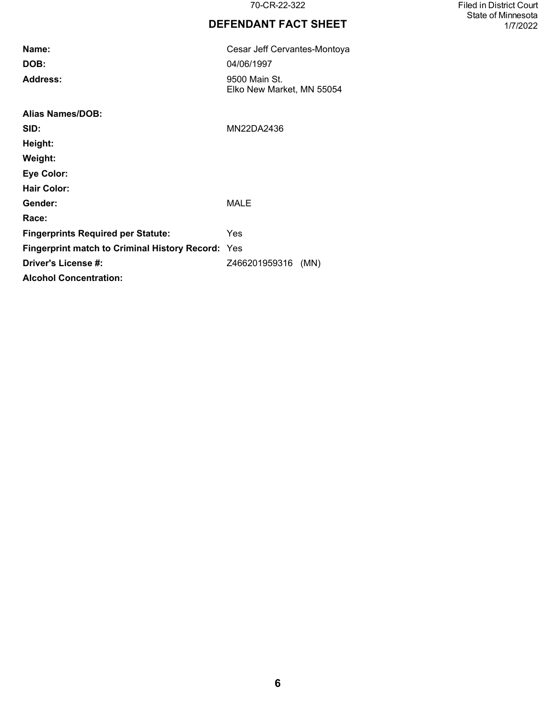### **DEFENDANT FACT SHEET**

| Name:                                                    | Cesar Jeff Cervantes-Montoya               |  |  |  |
|----------------------------------------------------------|--------------------------------------------|--|--|--|
| DOB:                                                     | 04/06/1997                                 |  |  |  |
| <b>Address:</b>                                          | 9500 Main St.<br>Elko New Market, MN 55054 |  |  |  |
| <b>Alias Names/DOB:</b>                                  |                                            |  |  |  |
| SID:                                                     | MN22DA2436                                 |  |  |  |
| Height:                                                  |                                            |  |  |  |
| Weight:                                                  |                                            |  |  |  |
| <b>Eye Color:</b>                                        |                                            |  |  |  |
| <b>Hair Color:</b>                                       |                                            |  |  |  |
| Gender:                                                  | <b>MALE</b>                                |  |  |  |
| Race:                                                    |                                            |  |  |  |
| <b>Fingerprints Required per Statute:</b>                | Yes                                        |  |  |  |
| <b>Fingerprint match to Criminal History Record: Yes</b> |                                            |  |  |  |
| Driver's License #:                                      | Z466201959316 (MN)                         |  |  |  |
| <b>Alcohol Concentration:</b>                            |                                            |  |  |  |

70-CR-22-322 Filed in District Court State of Minnesota 1/7/2022